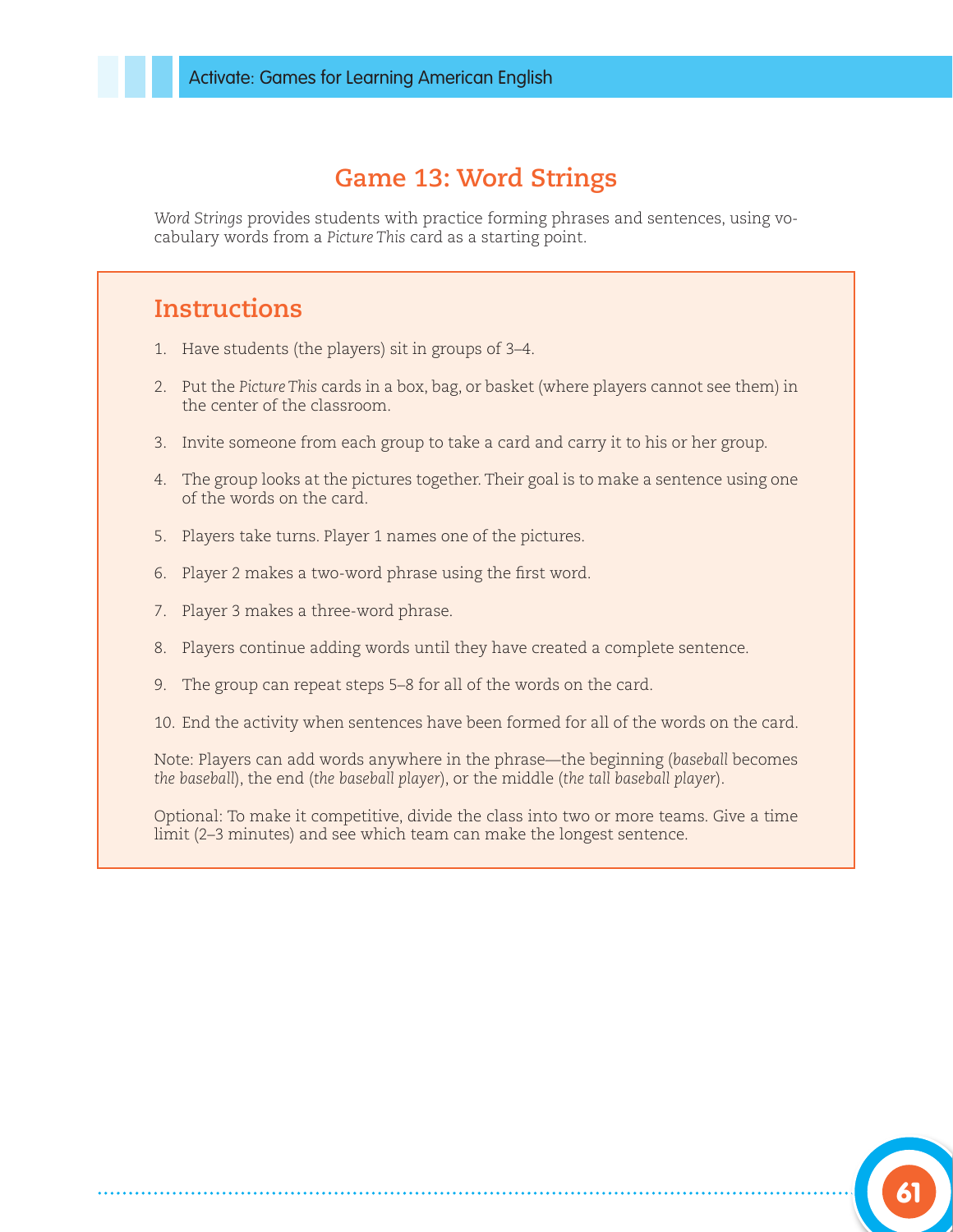## **Game 13: Word Strings**

*Word Strings* provides students with practice forming phrases and sentences, using vocabulary words from a *Picture This* card as a starting point.

## **Instructions**

- 1. Have students (the players) sit in groups of 3–4.
- 2. Put the *Picture This* cards in a box, bag, or basket (where players cannot see them) in the center of the classroom.
- 3. Invite someone from each group to take a card and carry it to his or her group.
- 4. The group looks at the pictures together. Their goal is to make a sentence using one of the words on the card.
- 5. Players take turns. Player 1 names one of the pictures.
- 6. Player 2 makes a two-word phrase using the first word.
- 7. Player 3 makes a three-word phrase.
- 8. Players continue adding words until they have created a complete sentence.
- 9. The group can repeat steps 5–8 for all of the words on the card.
- 10. End the activity when sentences have been formed for all of the words on the card.

Note: Players can add words anywhere in the phrase—the beginning (*baseball* becomes *the baseball*), the end (*the baseball player*), or the middle (*the tall baseball player*).

Optional: To make it competitive, divide the class into two or more teams. Give a time limit (2–3 minutes) and see which team can make the longest sentence.